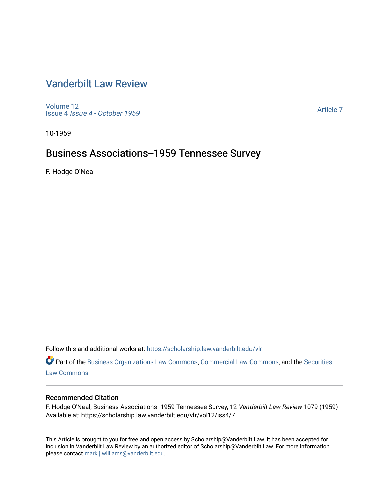# [Vanderbilt Law Review](https://scholarship.law.vanderbilt.edu/vlr)

[Volume 12](https://scholarship.law.vanderbilt.edu/vlr/vol12) Issue 4 [Issue 4 - October 1959](https://scholarship.law.vanderbilt.edu/vlr/vol12/iss4) 

[Article 7](https://scholarship.law.vanderbilt.edu/vlr/vol12/iss4/7) 

10-1959

# Business Associations--1959 Tennessee Survey

F. Hodge O'Neal

Follow this and additional works at: [https://scholarship.law.vanderbilt.edu/vlr](https://scholarship.law.vanderbilt.edu/vlr?utm_source=scholarship.law.vanderbilt.edu%2Fvlr%2Fvol12%2Fiss4%2F7&utm_medium=PDF&utm_campaign=PDFCoverPages)

Part of the [Business Organizations Law Commons](http://network.bepress.com/hgg/discipline/900?utm_source=scholarship.law.vanderbilt.edu%2Fvlr%2Fvol12%2Fiss4%2F7&utm_medium=PDF&utm_campaign=PDFCoverPages), [Commercial Law Commons,](http://network.bepress.com/hgg/discipline/586?utm_source=scholarship.law.vanderbilt.edu%2Fvlr%2Fvol12%2Fiss4%2F7&utm_medium=PDF&utm_campaign=PDFCoverPages) and the [Securities](http://network.bepress.com/hgg/discipline/619?utm_source=scholarship.law.vanderbilt.edu%2Fvlr%2Fvol12%2Fiss4%2F7&utm_medium=PDF&utm_campaign=PDFCoverPages)  [Law Commons](http://network.bepress.com/hgg/discipline/619?utm_source=scholarship.law.vanderbilt.edu%2Fvlr%2Fvol12%2Fiss4%2F7&utm_medium=PDF&utm_campaign=PDFCoverPages) 

# Recommended Citation

F. Hodge O'Neal, Business Associations--1959 Tennessee Survey, 12 Vanderbilt Law Review 1079 (1959) Available at: https://scholarship.law.vanderbilt.edu/vlr/vol12/iss4/7

This Article is brought to you for free and open access by Scholarship@Vanderbilt Law. It has been accepted for inclusion in Vanderbilt Law Review by an authorized editor of Scholarship@Vanderbilt Law. For more information, please contact [mark.j.williams@vanderbilt.edu.](mailto:mark.j.williams@vanderbilt.edu)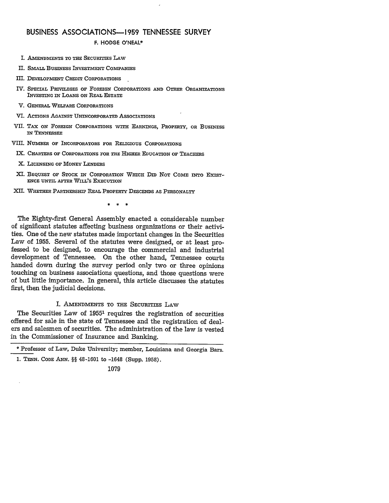## **BUSINESS ASSOCIATIONS-1959 TENNESSEE SURVEY**

F. **HODGE O'NEAL\***

- I. **AMENDMENTS** TO THE SECURITIES LAW
- II. SMALL BusINEss INVESTMENT COMPANIES
- III. **DEVELOPMENT CREDIT CORPORATIONS**
- IV. **SPECIAL PRIVILEGES OF FOREIGN CORPORATIONS AND OTHER ORGANIZATIONS** INVESTING **IN** LOANS **ON REAL ESTATE**
- V. **GENERAL WELFARE CORPORATIONS**
- VI. **ACTIONS AGAINST UNINCORPORATED ASSOCIATIONS**
- VII. **TAX ON FOREIGN CORPORATIONS WITH EARNINGS, PROPERTY, OR BUSINESS** IN **TENNESSEE**

VIII. NUMBER OF **INCORPORATORS FOR** RELIGIOUS CORPORATIONS

- IX. **CHARTERS OF** CORPORATIONS **FOR THE** HIGHER **EDUCATION** OF **TEACHERS**
- X. **LICENSING OF MONEY LENDERS**
- XI. **BEQUEST OF STOCK IN CORPORATION WHICH DID NOT COME INTO EXIST-ENCE** UNTIL **AFTER WILL'S EXECUTION**
- XII. **WHETHER PARTNERSHIP** REAL PROPERTY **DESCENDS AS PERSONALTY**

 $\pm$ 

The Eighty-first General Assembly enacted a considerable number of significant statutes affecting business organizations or their activities. One of the new statutes made important changes in the Securities Law of 1955. Several of the statutes were designed, or at least professed to be designed, to encourage the commercial and industrial development of Tennessee. On the other hand, Tennessee courts handed down during the survey period only two or three opinions touching on business associations questions, and those questions were of but little importance. In general, this article discusses the statutes first, then the judicial decisions.

### I. AmENDMENTS TO THE SECURITIES LAw

The Securities Law of 1955<sup>1</sup> requires the registration of securities offered for sale in the state of Tennessee and the registration of dealers and salesmen of securities. The administration of the law is vested in the Commissioner of Insurance and Banking.

<sup>\*</sup> Professor of Law, Duke University; member, Louisiana and Georgia Bars.

*<sup>1.</sup>* TENN. CODE *ANN.* §§ 48-1601 to -1648 (Supp. 1958).

<sup>1079</sup>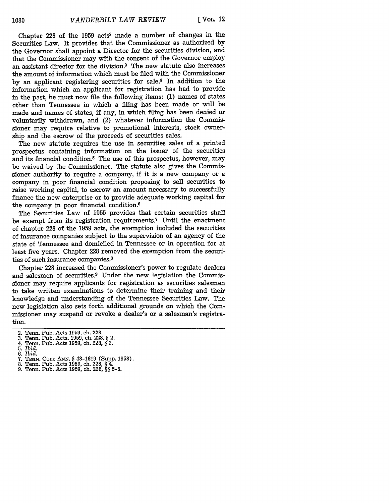Chapter 228 of the 1959 acts2 made a number of changes in the Securities Law. It provides that the Commissioner as authorized by the Governor shall appoint a Director for the securities division, and that the Commissioner may with the consent of the Governor employ an assistant director for the division.3 The new statute also increases the amount of information which must be filed with the Commissioner by an applicant registering securities for sale.4 In addition to the information which an applicant for registration has had to provide in the past, he must now file the following items: (1) names of states other than Tennessee in which a filing has been made or will be made and names of states, if any, in which fling has been denied or voluntarily withdrawn, and (2) whatever information the Commissioner may require relative to promotional interests, stock ownership and the escrow of the proceeds of securities sales.

The new statute requires the use in securities sales of a printed prospectus containing information on the issuer of the securities and its financial condition.<sup>5</sup> The use of this prospectus, however, may be waived by the Commissioner. The statute also gives the Commissioner authority to require a company, **if** it is a new company or a company in poor financial condition proposing to sell securities to raise working capital, to escrow an amount necessary to successfully finance the new enterprise or to provide adequate working capital for the company in poor financial condition.<sup>6</sup>

The Securities Law of 1955 provides that certain securities shall be exempt from its registration requirements.7 Until the enactment of chapter 228 of the 1959 acts, the exemption included the securities of insurance companies subject to the supervision of an agency of the state of Tennessee and domiciled in Tennessee or in operation for at least five years. Chapter 228 removed the exemption from the securities of such insurance companies.<sup>8</sup>

Chapter 228 increased the Commissioner's power to regulate dealers and salesmen of securities.9 Under the new legislation the Commissioner may require applicants for registration as securities salesmen to take written examinations to determine their training and their knowledge and understanding of the Tennessee Securities Law. The new legislation also sets forth additional grounds on which the Commissioner may suspend or revoke a dealer's or a salesman's registration.

<sup>2.</sup> Tenn. Pub. Acts 1959, ch. 228. 3. Tenn. Pub. Acts. 1959, ch. 228, § 2.

<sup>4.</sup> Tenn. Pub. Acts 1959, ch. 228, § 3.

<sup>5.</sup> *Ibid. 6. Ibid.*

<sup>7.</sup> **TENN.** CODE **ANN.** § 48-1619 (Supp. 1958).

<sup>8.</sup> Tenn. Pub. Acts 1959, ch. 228, § 4.

<sup>9.</sup> Tenn. Pub. Acts 1959, ch. 228, *§§* 5-6.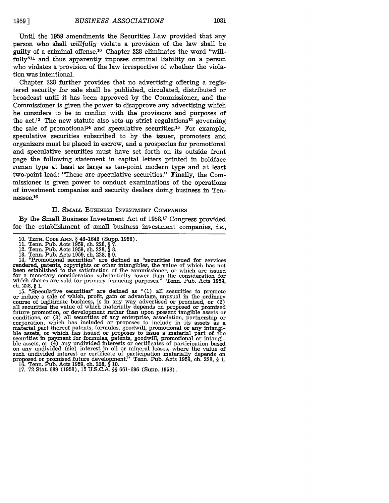Until the **1959** amendments the Securities Law provided that any person who shall *willfully* violate a provision of the law shall be guilty of a criminal offense.10 Chapter 228 eliminates the word "willfully"<sup>11</sup> and thus apparently imposes criminal liability on a person who violates a provision of the law irrespective of whether the violation was intentional.

Chapter 228 further provides that no advertising offering a registered security for sale shall be published, circulated, distributed or broadcast until it has been approved by the Commissioner, and the Commissioner is given the power to disapprove any advertising which he considers to be in conflict with the provisions and purposes of the act.<sup>12</sup> The new statute also sets up strict regulations<sup>13</sup> governing the sale of promotional<sup>14</sup> and speculative securities.<sup>15</sup> For example, speculative securities subscribed to by the issuer, promoters and organizers must be placed in escrow, and a prospectus for promotional and speculative securities must have set forth on its outside front page the following statement in capital letters printed in boldface roman type at least as large as ten-point modern type and at least two-point lead: "These are speculative securities." Finally, the Commissioner is given power to conduct examinations of the operations of investment companies and security dealers doing business in Tennessee. 16

#### II. **SMALL** BusNEss INVESTMENT **COMPANIES**

By the Small Business Investment Act of 1958,17 Congress provided for the establishment of small business investment companies, *i.e.,*

- 12. Tenn. Pub. Acts 1959, ch. 228, § 8. **13.** Tenn. Pub. Acts 1959, ch. 228, § 9.
- 

14. '"Promotional securities" are defined as "securities issued for services rendered, patents, copyrights or other intangibles, the value of which has not been established to the satisfaction of the commissioner, or which are issued for a monetary consideration substantially lower than the consideration for which shares are sold for primary financing purposes." Tenn. Pub. Acts 1959, ch. 228, § 1.

15. "Speculative securities" are defined as "(1) all securities to promote or induce a sale of which, profit, gain or advantage, unusual in the ordinary course of legitimate business, is in any way advertised or promised, course of legitimate business, is in any way advertised or promised, or  $(2)$  all securities the value of which materially depends on proposed or promised an securities the value of which inducts and phononset than upon present tangible assets or<br>conditions, or (3) all securities of any enterprise, association, partnership or<br>conditions, or (3) all securities of any enterpri ble assets, or which has issued or proposes to issue a material part of the securities in payment for formulas, patents, goodwill, promotional or intangible assets, or  $(4)$  any undivided interests or certificates of participation based on any undivided (sic) interest in oil or mineral leases, where the value of such undivided interest or certificate of participation materially depends on proposed or promised future development." Tenn. Pub. Acts 1959, ch. 228, § 1. 16. Tenn. Pub. Acts 1959, ch. 228, § 10.

**17. 72** Stat. 689 (1958), 15 U.S.C.A. §§ 661-696 (Supp. 1958).

<sup>10.</sup> **TENN. CODE** *ANNm.* § 48-1648 (Supp. 1958). 11. Tenn. Pub. Acts 1959, ch. 228, § 7.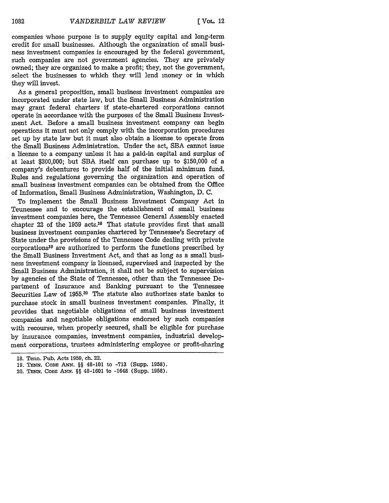companies whose purpose is to supply equity capital and long-term credit for small businesses. Although the organization of small business investment companies is encouraged by the federal government, such companies are not government agencies. They are privately owned; they are organized to make a profit; they, not the government, select the businesses to which they will lend money or in which they will invest.

As a general proposition, small business investment companies are incorporated under state law, but the Small Business Administration may grant federal charters if state-chartered corporations cannot operate in accordance with the purposes of the Small Business Investment Act. Before a small business investment company can begin operations it must not only comply with the incorporation procedures set up by state law but it must also obtain a license to operate from the Small Business Administration. Under the act, SBA cannot issue a license to a company unless it has a paid-in capital and surplus of at least \$300,000; but SBA itself can purchase up to \$150,000 of a company's debentures to provide half of the initial minimum fund. Rules and regulations governing the organization and operation of small business investment companies can be obtained from the Office of Information, Small Business Administration, Washington, D. C.

To implement the Small Business Investment Company Act in Tennessee and to encourage the establishment of small business investment companies here, the Tennessee General Assembly enacted chapter 22 of the 1959 acts.18 That statute provides first that small business investment companies chartered by Tennessee's Secretary of State under the provisions of the Tennessee Code dealing with private corporations19 are authorized to perform the functions prescribed by the Small Business Investment Act, and that as long as a small business investment company is licensed, supervised and inspected by the Small Business Administration, it shall not be subject to supervision by agencies of the State of Tennessee, other than the Tennessee Department of Insurance and Banking pursuant to the Tennessee Securities Law of 1955.<sup>20</sup> The statute also authorizes state banks to purchase stock in small business investment companies. Finally, it provides that negotiable obligations of small business investment companies and negotiable obligations endorsed by such companies with recourse, when properly secured, shall be eligible for purchase by insurance companies, investment companies, industrial development corporations, trustees administering employee or profit-sharing

**<sup>18.</sup>** Tenn. Pub. Acts 1959, ch. 22.

**<sup>19.</sup> TENN.** CODE **ANN. §§** 48-101 to **-713** (Supp. **1958).**

<sup>20.</sup> **TENN.** CODE **ANN.** *§§* 48-1601 to -1648 (Supp. **1958).**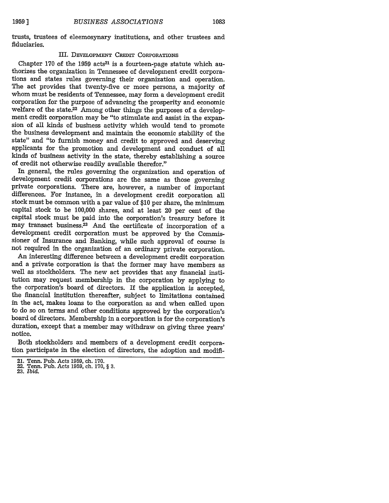trusts, trustees of eleemosynary institutions, and other trustees and fiduciaries.

#### III. DEVELOPMENT CREDIT CORPORATIONS

Chapter 170 of the 1959 acts<sup>21</sup> is a fourteen-page statute which authorizes the organization in Tennessee of development credit corporations and states rules governing their organization and operation. The act provides that twenty-five or more persons, a majority of whom must be residents of Tennessee, may form a development credit corporation for the purpose of advancing the prosperity and economic welfare of the state.<sup>22</sup> Among other things the purposes of a development credit corporation may be "to stimulate and assist in the expansion of all kinds of business activity which would tend to promote the business development and maintain the economic stability of the state" and "to furnish money and credit to approved and deserving applicants for the promotion and development and conduct of all kinds of business activity in the state, thereby establishing a source of credit not otherwise readily available therefor."

In general, the rules governing the organization and operation of development credit corporations are the same as those governing private corporations. There are, however, a number of important differences. For instance, in a development credit corporation all stock must be common with a par value of \$10 per share, the minimum capital stock to be 100,000 shares, and at least 20 per cent of the capital stock must be paid into the corporation's treasury before it may transact business.<sup>23</sup> And the certificate of incorporation of a development credit corporation must be approved by the Commissioner of Insurance and Banking, while such approval of course is not required in the organization of an ordinary private corporation.

An interesting difference between a development credit corporation and a private corporation is that the former may have members as well as stockholders. The new act provides that any financial institution may request membership in the corporation by applying to the corporation's board of directors. If the application is accepted, the financial institution thereafter, subject to limitations contained in the act, makes loans to the corporation as and when called upon to do so on terms and other conditions approved by the corporation's board of directors. Membership in a corporation is for the corporation's duration, except that a member may withdraw on giving three years' notice.

Both stockholders and members of a development credit corporation participate in the election of directors, the adoption and modifi-

23. *Ibid.*

<sup>21.</sup> Tenn. Pub. Acts **1959,** ch. **170.**

<sup>22.</sup> Tenn. Pub. Acts **1959,** ch. 170, § **3.**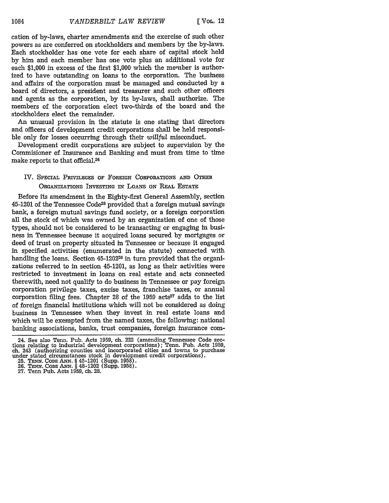cation of by-laws, charter amendments and the exercise of such other powers as are conferred on stockholders and members by the by-laws. Each stockholder has one vote for each share of capital stock held by him and each member has one vote plus an additional vote for each \$1,000 in excess of the first \$1,000 which the member is authorized to have outstanding on loans to the corporation. The business and affairs of the corporation must be managed and conducted by a board of directors, a president and treasurer and such other officers and agents as the corporation, by its by-laws, shall authorize. The members of the corporation elect two-thirds of the board and the stockholders elect the remainder.

An unusual provision in the statute is one stating that directors and officers of development credit corporations shall be held responsible only for losses occurring through their *willful* misconduct.

Development credit corporations are subject to supervision by the Commisioner of Insurance and Banking and must from time to time make reports to that official.24

# IV. SPECIAL PRIVILEGES OF FOREIGN CORPORATIONS AND OTHER ORGANIZATIONS INVESTING IN LOANS ON REAL ESTATE

Before its amendment in the Eighty-first General Assembly, section 45-1201 of the Tennessee Code<sup>25</sup> provided that a foreign mutual savings bank, a foreign mutual savings fund society, or a foreign corporation all the stock of which was owned by an organization of one of those types, should not be considered to be transacting or engaging in business in Tennessee because it acquired loans secured by mortgages or deed of trust on property situated in Tennessee or because it engaged in specified activities (enumerated in the statute) connected with handling the loans. Section 45-1202<sup>26</sup> in turn provided that the organizations referred to in section 45-1201, as long as their activities were restricted to investment in loans on real estate and acts connected therewith, need not qualify to do business in Tennessee or pay foreign corporation privilege taxes, excise taxes, franchise taxes, or annual corporation filing fees. Chapter 28 of the  $1959$  acts<sup>27</sup> adds to the list of foreign financial institutions which will not be considered as doing business in Tennessee when they invest in real estate loans and which will be exempted from the named taxes, the following: national banking associations, banks, trust companies, foreign insurance com-

<sup>24.</sup> See also Tenn. Pub. Acts 1959, ch. 222 (amending Tennessee Code sections relating to industrial development corporations); Tenn. Pub. Acts 1959,<br>ch. 243 (authorizing counties and incorporated cities and towns to purchase<br>under stated circumstances stock in development credit corporations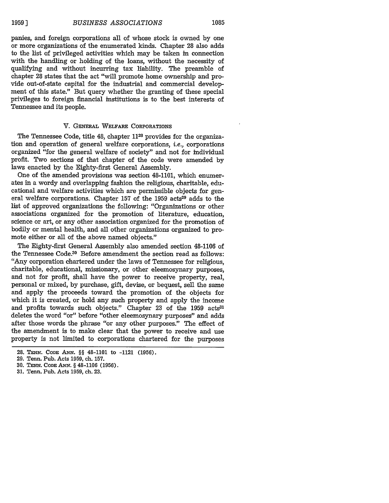panies, and foreign corporations all of whose stock is owned by one or more organizations of the enumerated kinds. Chapter 28 also adds to the list of privileged activities which may be taken in connection with the handling or holding of the loans, without the necessity of qualifying and without incurring tax liability. The preamble of chapter 28 states that the act "will promote home ownership and provide out-of-state capital for the industrial and commercial development of this state." But query whether the granting of these special privileges to foreign financial institutions is to the best interests of Tennessee and its people.

#### V. GENERAL WELFARE CORPORATIONS

The Tennessee Code, title 48, chapter 11<sup>28</sup> provides for the organization and operation of general welfare corporations, i.e., corporations organized "for the general welfare of society" and not for individual profit. Two sections of that chapter of the code were amended by laws enacted by the Eighty-first General Assembly.

One of the amended provisions was section 48-1101, which enumerates in a wordy and overlapping fashion the religious, charitable, educational and welfare activities which are permissible objects for general welfare corporations. Chapter 157 of the 1959 acts<sup>29</sup> adds to the list of approved organizations the following: "Organizations or other associations organized for the promotion of literature, education, science or art, or any other association organized for the promotion of bodily or mental health, and all other organizations organized to promote either or all of the above named objects."

The Eighty-first General Assembly also amended section 48-1106 of the Tennessee Code.<sup>30</sup> Before amendment the section read as follows: "Any corporation chartered under the laws of Tennessee for religious, charitable, educational, missionary, or other eleemosynary purposes, and not for profit, shall have the power to receive property, real, personal or mixed, by purchase, gift, devise, or bequest, sell the same and apply the proceeds toward the promotion of the objects for which it is created, or hold any such property and apply the income and profits towards such objects." Chapter 23 of the 1959 acts<sup>31</sup> deletes the word "or" before "other eleemosynary purposes" and adds after those words the phrase "or any other purposes." The effect of the amendment is to make clear that the power to receive and use property is not limited to corporations chartered for the purposes

- 30. **TENN.** *CODE* ANN. **§** 48-1106 (1956).
- **31.** Tenn. Pub. Acts 1959, ch. 23.

**<sup>28.</sup> TENN . CODE** AxN. §§ 48-1101 to -1121 **(1956).**

**<sup>29.</sup>** Tenn. Pub. Acts 1959, ch. **157.**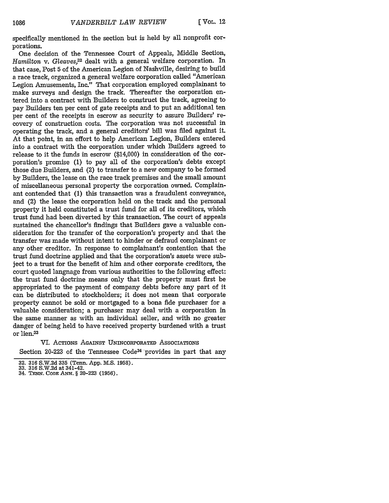specifically mentioned in the section but is held by all nonprofit corporations.

One decision of the Tennessee Court of Appeals, Middle Section, *Hamilton* v. *Gleaves,<sup>32</sup>*dealt with a general welfare corporation. In that case, Post **5** of the American Legion of Nashville, desiring to build a race track, organized a general welfare corporation called "American Legion Amusements, Inc." That corporation employed complainant to make surveys and design the track. Thereafter the corporation entered into a contract with Builders to construct the track, agreeing to pay Builders ten per cent of gate receipts and to put an additional ten per cent of the receipts in escrow as security to assure Builders' recovery of construction costs. The corporation was not successful in operating the track, and a general creditors' bill was filed against it. At that point, in an effort to help American Legion, Builders entered into a contract with the corporation under which Builders agreed to release to it the funds in escrow (\$14,000) in consideration of the corporation's promise **(1)** to pay all of the corporation's debts except those due Builders, and (2) to transfer to a new company to be formed **by** Builders, the lease on the race track premises and the small amount of miscellaneous personal property the corporation owned. Complainant contended that **(1)** this transaction was a fraudulent conveyance, and (2) the lease the corporation held on the track and the personal property it held constituted a trust fund for all of its creditors, which trust fund had been diverted **by** this transaction. The court of appeals sustained the chancellor's findings that Builders gave a valuable consideration for the transfer of the corporation's property and that the transfer was made without intent to hinder or defraud complainant or any other creditor. In response to complainant's contention that the trust fund doctrine applied and that the corporation's assets were subject to a trust for the benefit of him and other corporate creditors, the court quoted language from various authorities to the following effect: the trust fund doctrine means only that the property must first be appropriated to the payment of company debts before any part of it can be distributed to stockholders; it does not mean that corporate property cannot be sold or mortgaged to a bona fide purchaser for a valuable consideration; a purchaser may deal with a corporation in the same manner as with an individual seller, and with no greater danger of being held to have received property burdened with a trust or lien.33

VI. ACTIONS AGAINST UNINCORPORATED AssocIATIoNs Section 20-223 of the Tennessee Code<sup>34</sup> provides in part that any

<sup>32. 316</sup> S.W.2d 335 (Tenn. App. M.S. 1958). **33. 316** S.W.2d at 341-42.

<sup>34.</sup> TENN. **CODE** ANN. **§** 20-223 (1956).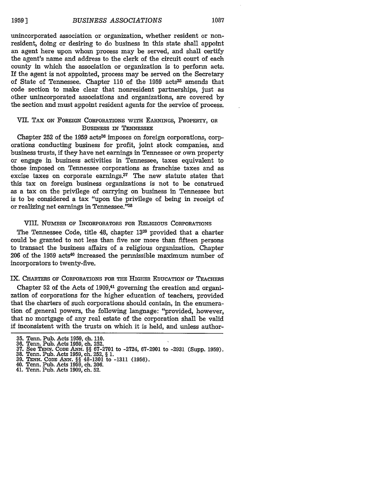unincorporated association or organization, whether resident or nonresident, doing or desiring to do business in this state shall appoint an agent here upon whom process may be served, and shall certify the agent's name and address to the clerk of the circuit court of each county in which the association or organization is to perform acts. If the agent is not appointed, process may be served on the Secretary of State of Tennessee. Chapter 110 of the 1959 acts<sup>35</sup> amends that code section to make clear that nonresident partnerships, just as other unincorporated associations and organizations, are covered **by** the section and must appoint resident agents for the service of process.

## **VII.** TAx ON FOREIGN CORPORATIONS WITH **EARNINGS,** PROPERTY, OR BusINEss IN **TENNESSEE**

Chapter 252 of the 1959 acts<sup>36</sup> imposes on foreign corporations, corporations conducting business for profit, joint stock companies, and business trusts, **if** they have net earnings in Tennessee or own property or engage in business activities in Tennessee, taxes equivalent to those imposed on Tennessee corporations as franchise taxes and as excise taxes on corporate earnings.<sup>37</sup> The new statute states that this tax on foreign business organizations is not to be construed as a tax on the privilege of carrying on business in Tennessee but is to be considered a tax "upon the privilege of being in receipt of or realizing net earnings in Tennessee."38

#### VIII. NUMBER OF INCORPORATORS FOR RELIGIOUS CORPORATIONS

The Tennessee Code, title 48, chapter **1339** provided that a charter could be granted to not less than five nor more than fifteen persons to transact the business affairs of a religious organization. Chapter **206** of the **1959** acts4° increased the permissible maximum number of incorporators to twenty-five.

#### **IX.** CHARTERS OF CORPORATIONS FOR **THE** HIGHER EDUCATION OF TEACHERS

Chapter **52** of the Acts of 1909,41 governing the creation and organization of corporations for the higher education of teachers, provided that the charters of such corporations should contain, in the enumeration of general powers, the following language: "provided, however, that no mortgage of any real estate of the corporation shall be valid if inconsistent with the trusts on which it is held, and unless author-

**<sup>35.</sup>** Tenn. Pub. Acts **1959,** ch. **110.**

**<sup>36.</sup> Tenn.** Pub. Acts 1959, ch. 252.

**<sup>37.</sup>** See **TENN. CODE ANN.** §§ 67-2701 to -2724, 67-2901 to -2931 (Supp. 1959). **38.** Tenn. Pub. Acts **1959,** ch. 252, § **1.**

**<sup>39.</sup> TENN. CODE ANl.** §§ 48-1301 to **-1311 (1956).** 40. Tenn. Pub. Acts **1959,** ch. **206.**

<sup>41.</sup> Tenn. Pub. Acts **1909,** ch. **52.**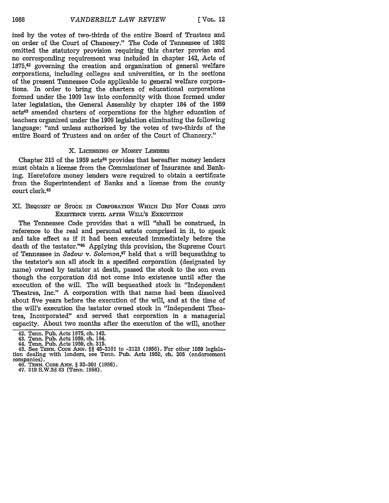ized by the votes of two-thirds of the entire Board of Trustees and on order of the Court of Chancery." The Code of Tennessee of 1932 omitted the statutory provision requiring this charter proviso and no corresponding requirement was included in chapter 142, Acts of  $1875,42$  governing the creation and organization of general welfare corporations, including colleges and universities, or in the sections of the present Tennessee Code applicable to general welfare corporations. **In** order to bring the charters of educational corporations formed under the 1909 law into conformity with those formed under later legislation, the General Assembly by chapter 184 of the 1959 acts43 amended charters of corporations for the higher education of teachers organized under the 1909 legislation eliminating the following language: "and unless authorized by the votes of two-thirds of the entire Board of Trustees and on order of the Court of Chancery."

#### X. LICENSING OF MONEY LENDERS

Chapter 315 of the 1959 acts<sup>44</sup> provides that hereafter money lenders must obtain a license from the Commissioner of Insurance and Banking. Heretofore money lenders were required to obtain a certificate from the Superintendent of Banks and a license from the county court clerk.45

### XI. BEQUEST OF STOCK IN CORPORATION WHICH DiD NOT COME INTO EXISTENCE UNTIL AFTER WILL'S EXECUTION

The Tennessee Code provides that a will "shall be construed, in reference to the real and personal estate comprised in it, to speak and take effect as if it had been executed immediately before the death of the testator."46 Applying this provision, the Supreme Court of Tennessee in *Sadow v. Solomon*,<sup>47</sup> held that a will bequeathing to the testator's son all stock in a specified corporation (designated by name) owned by testator at death, passed the stock to the son even though the corporation did not come into existence until after the execution of the will. The will bequeathed stock in "Independent Theatres, Inc." A corporation with that name had been dissolved about five years before the execution of the will, and at the time of the will's execution the testator owned stock in "Independent Theatres, Incorporated" and served that corporation in a managerial capacity. About two months after the execution of the will, another

<sup>42.</sup> Tenn. Pub. Acts 1875, ch. 142.

<sup>43.</sup> Tenn. Pub. Acts 1959, ch. 184.

<sup>44.</sup> Tenn. Pub. Acts 1959, ch. **315.**

<sup>45.</sup> See **TENN. CODE** ANN. §§ 45-2101 to -2123 (1956). For other 1959 legisla- tion dealing with lenders, see Tenn. Pub. Acts 1959, ch. 205 (endorsement companies). 46. **TENN. CODE ANN.** § 32-301 **(1956).** 47. **319 S.W.2d 83** (Tenn. **1958).**